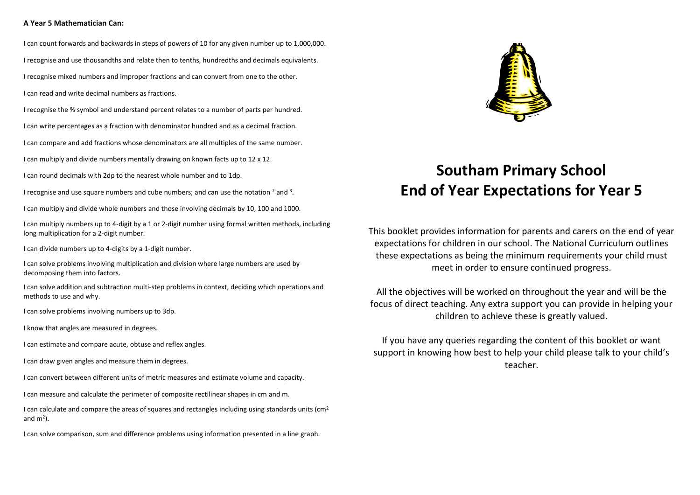## **A Year 5 Mathematician Can:**

I can count forwards and backwards in steps of powers of 10 for any given number up to 1,000,000. I recognise and use thousandths and relate then to tenths, hundredths and decimals equivalents.

I recognise mixed numbers and improper fractions and can convert from one to the other.

I can read and write decimal numbers as fractions.

I recognise the % symbol and understand percent relates to a number of parts per hundred.

I can write percentages as a fraction with denominator hundred and as a decimal fraction.

I can compare and add fractions whose denominators are all multiples of the same number.

I can multiply and divide numbers mentally drawing on known facts up to 12 x 12.

I can round decimals with 2dp to the nearest whole number and to 1dp.

I recognise and use square numbers and cube numbers; and can use the notation  $^2$  and  $^3$ .

I can multiply and divide whole numbers and those involving decimals by 10, 100 and 1000.

I can multiply numbers up to 4-digit by a 1 or 2-digit number using formal written methods, including long multiplication for a 2-digit number.

I can divide numbers up to 4-digits by a 1-digit number.

I can solve problems involving multiplication and division where large numbers are used by decomposing them into factors.

I can solve addition and subtraction multi-step problems in context, deciding which operations and methods to use and why.

I can solve problems involving numbers up to 3dp.

I know that angles are measured in degrees.

I can estimate and compare acute, obtuse and reflex angles.

I can draw given angles and measure them in degrees.

I can convert between different units of metric measures and estimate volume and capacity.

I can measure and calculate the perimeter of composite rectilinear shapes in cm and m.

I can calculate and compare the areas of squares and rectangles including using standards units ( $\text{cm}^2$ ) and  $m<sup>2</sup>$ ).

I can solve comparison, sum and difference problems using information presented in a line graph.



## **Southam Primary School End of Year Expectations for Year 5**

This booklet provides information for parents and carers on the end of year expectations for children in our school. The National Curriculum outlines these expectations as being the minimum requirements your child must meet in order to ensure continued progress.

All the objectives will be worked on throughout the year and will be the focus of direct teaching. Any extra support you can provide in helping your children to achieve these is greatly valued.

If you have any queries regarding the content of this booklet or want support in knowing how best to help your child please talk to your child's teacher.